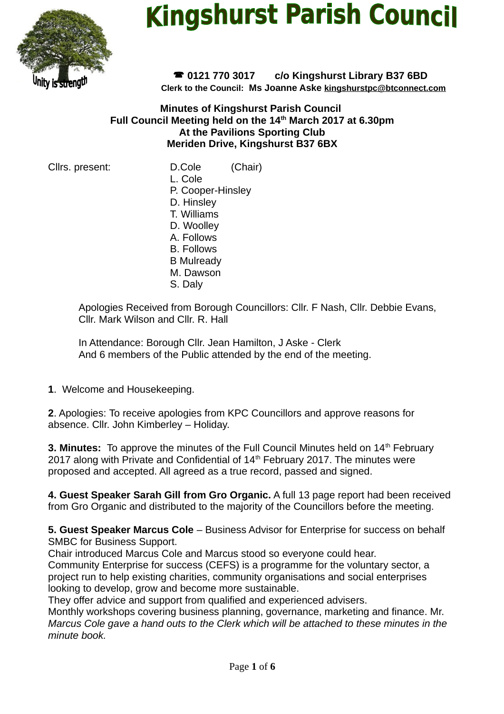

# **Kingshurst Parish Council**

 **0121 770 3017 c/o Kingshurst Library B37 6BD Clerk to the Council: Ms Joanne Aske [kingshurstpc@btconnect.com](mailto:kingshurstpc@btconnect.com)**

## **Minutes of Kingshurst Parish Council Full Council Meeting held on the 14th March 2017 at 6.30pm At the Pavilions Sporting Club Meriden Drive, Kingshurst B37 6BX**

Cllrs. present: D.Cole (Chair)

L. Cole P. Cooper-Hinsley

D. Hinsley T. Williams D. Woolley

- A. Follows
- B. Follows
- B Mulready
- M. Dawson
- S. Daly

Apologies Received from Borough Councillors: Cllr. F Nash, Cllr. Debbie Evans, Cllr. Mark Wilson and Cllr. R. Hall

In Attendance: Borough Cllr. Jean Hamilton, J Aske - Clerk And 6 members of the Public attended by the end of the meeting.

**1**. Welcome and Housekeeping.

**2**. Apologies: To receive apologies from KPC Councillors and approve reasons for absence. Cllr. John Kimberley – Holiday.

**3. Minutes:** To approve the minutes of the Full Council Minutes held on 14<sup>th</sup> February 2017 along with Private and Confidential of  $14<sup>th</sup>$  February 2017. The minutes were proposed and accepted. All agreed as a true record, passed and signed.

**4. Guest Speaker Sarah Gill from Gro Organic.** A full 13 page report had been received from Gro Organic and distributed to the majority of the Councillors before the meeting.

**5. Guest Speaker Marcus Cole** – Business Advisor for Enterprise for success on behalf SMBC for Business Support.

Chair introduced Marcus Cole and Marcus stood so everyone could hear.

Community Enterprise for success (CEFS) is a programme for the voluntary sector, a project run to help existing charities, community organisations and social enterprises looking to develop, grow and become more sustainable.

They offer advice and support from qualified and experienced advisers.

Monthly workshops covering business planning, governance, marketing and finance. Mr. *Marcus Cole gave a hand outs to the Clerk which will be attached to these minutes in the minute book.*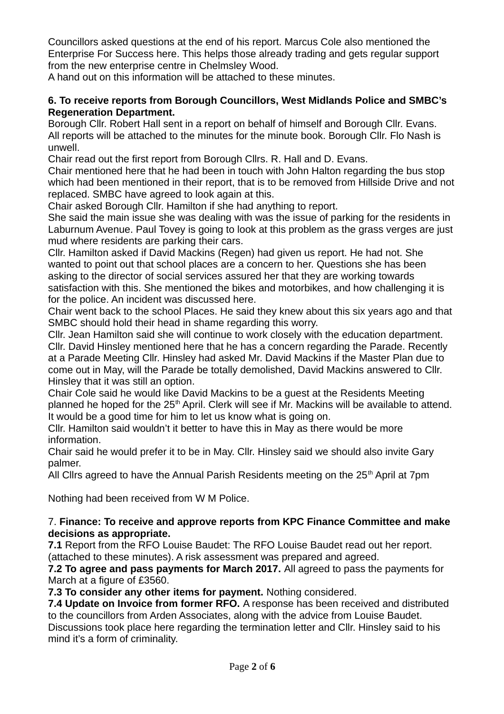Councillors asked questions at the end of his report. Marcus Cole also mentioned the Enterprise For Success here. This helps those already trading and gets regular support from the new enterprise centre in Chelmsley Wood.

A hand out on this information will be attached to these minutes.

### **6. To receive reports from Borough Councillors, West Midlands Police and SMBC's Regeneration Department.**

Borough Cllr. Robert Hall sent in a report on behalf of himself and Borough Cllr. Evans. All reports will be attached to the minutes for the minute book. Borough Cllr. Flo Nash is unwell.

Chair read out the first report from Borough Cllrs. R. Hall and D. Evans.

Chair mentioned here that he had been in touch with John Halton regarding the bus stop which had been mentioned in their report, that is to be removed from Hillside Drive and not replaced. SMBC have agreed to look again at this.

Chair asked Borough Cllr. Hamilton if she had anything to report.

She said the main issue she was dealing with was the issue of parking for the residents in Laburnum Avenue. Paul Tovey is going to look at this problem as the grass verges are just mud where residents are parking their cars.

Cllr. Hamilton asked if David Mackins (Regen) had given us report. He had not. She wanted to point out that school places are a concern to her. Questions she has been asking to the director of social services assured her that they are working towards satisfaction with this. She mentioned the bikes and motorbikes, and how challenging it is for the police. An incident was discussed here.

Chair went back to the school Places. He said they knew about this six years ago and that SMBC should hold their head in shame regarding this worry.

Cllr. Jean Hamilton said she will continue to work closely with the education department. Cllr. David Hinsley mentioned here that he has a concern regarding the Parade. Recently at a Parade Meeting Cllr. Hinsley had asked Mr. David Mackins if the Master Plan due to come out in May, will the Parade be totally demolished, David Mackins answered to Cllr. Hinsley that it was still an option.

Chair Cole said he would like David Mackins to be a guest at the Residents Meeting planned he hoped for the 25<sup>th</sup> April. Clerk will see if Mr. Mackins will be available to attend. It would be a good time for him to let us know what is going on.

Cllr. Hamilton said wouldn't it better to have this in May as there would be more information.

Chair said he would prefer it to be in May. Cllr. Hinsley said we should also invite Gary palmer.

All Cllrs agreed to have the Annual Parish Residents meeting on the  $25<sup>th</sup>$  April at 7pm

Nothing had been received from W M Police.

## 7. **Finance: To receive and approve reports from KPC Finance Committee and make decisions as appropriate.**

**7.1** Report from the RFO Louise Baudet: The RFO Louise Baudet read out her report. (attached to these minutes). A risk assessment was prepared and agreed.

**7.2 To agree and pass payments for March 2017.** All agreed to pass the payments for March at a figure of £3560.

**7.3 To consider any other items for payment.** Nothing considered.

**7.4 Update on Invoice from former RFO.** A response has been received and distributed to the councillors from Arden Associates, along with the advice from Louise Baudet. Discussions took place here regarding the termination letter and Cllr. Hinsley said to his mind it's a form of criminality.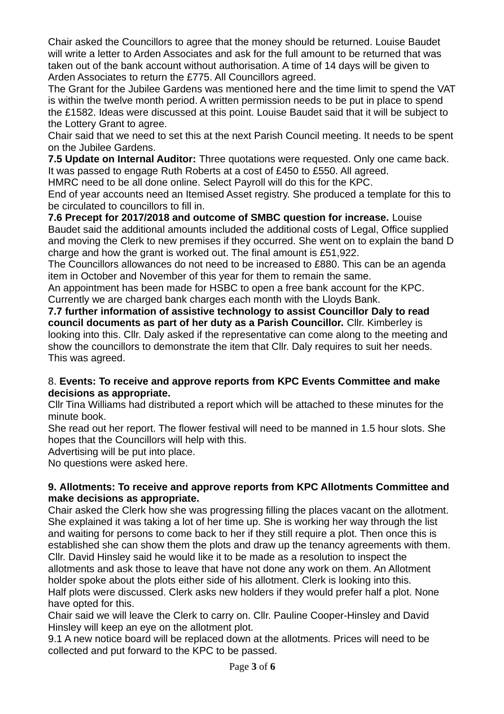Chair asked the Councillors to agree that the money should be returned. Louise Baudet will write a letter to Arden Associates and ask for the full amount to be returned that was taken out of the bank account without authorisation. A time of 14 days will be given to Arden Associates to return the £775. All Councillors agreed.

The Grant for the Jubilee Gardens was mentioned here and the time limit to spend the VAT is within the twelve month period. A written permission needs to be put in place to spend the £1582. Ideas were discussed at this point. Louise Baudet said that it will be subject to the Lottery Grant to agree.

Chair said that we need to set this at the next Parish Council meeting. It needs to be spent on the Jubilee Gardens.

**7.5 Update on Internal Auditor:** Three quotations were requested. Only one came back. It was passed to engage Ruth Roberts at a cost of £450 to £550. All agreed.

HMRC need to be all done online. Select Payroll will do this for the KPC.

End of year accounts need an Itemised Asset registry. She produced a template for this to be circulated to councillors to fill in.

**7.6 Precept for 2017/2018 and outcome of SMBC question for increase.** Louise Baudet said the additional amounts included the additional costs of Legal, Office supplied and moving the Clerk to new premises if they occurred. She went on to explain the band D charge and how the grant is worked out. The final amount is £51,922.

The Councillors allowances do not need to be increased to £880. This can be an agenda item in October and November of this year for them to remain the same.

An appointment has been made for HSBC to open a free bank account for the KPC. Currently we are charged bank charges each month with the Lloyds Bank.

**7.7 further information of assistive technology to assist Councillor Daly to read council documents as part of her duty as a Parish Councillor.** Cllr. Kimberley is looking into this. Cllr. Daly asked if the representative can come along to the meeting and show the councillors to demonstrate the item that Cllr. Daly requires to suit her needs. This was agreed.

# 8. **Events: To receive and approve reports from KPC Events Committee and make decisions as appropriate.**

Cllr Tina Williams had distributed a report which will be attached to these minutes for the minute book.

She read out her report. The flower festival will need to be manned in 1.5 hour slots. She hopes that the Councillors will help with this.

Advertising will be put into place.

No questions were asked here.

## **9. Allotments: To receive and approve reports from KPC Allotments Committee and make decisions as appropriate.**

Chair asked the Clerk how she was progressing filling the places vacant on the allotment. She explained it was taking a lot of her time up. She is working her way through the list and waiting for persons to come back to her if they still require a plot. Then once this is established she can show them the plots and draw up the tenancy agreements with them. Cllr. David Hinsley said he would like it to be made as a resolution to inspect the allotments and ask those to leave that have not done any work on them. An Allotment holder spoke about the plots either side of his allotment. Clerk is looking into this. Half plots were discussed. Clerk asks new holders if they would prefer half a plot. None have opted for this.

Chair said we will leave the Clerk to carry on. Cllr. Pauline Cooper-Hinsley and David Hinsley will keep an eye on the allotment plot.

9.1 A new notice board will be replaced down at the allotments. Prices will need to be collected and put forward to the KPC to be passed.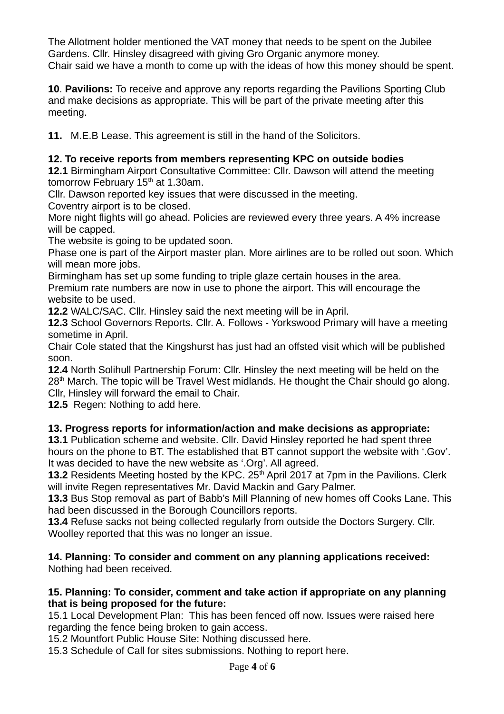The Allotment holder mentioned the VAT money that needs to be spent on the Jubilee Gardens. Cllr. Hinsley disagreed with giving Gro Organic anymore money. Chair said we have a month to come up with the ideas of how this money should be spent.

**10**. **Pavilions:** To receive and approve any reports regarding the Pavilions Sporting Club and make decisions as appropriate. This will be part of the private meeting after this meeting.

**11.** M.E.B Lease. This agreement is still in the hand of the Solicitors.

# **12. To receive reports from members representing KPC on outside bodies**

**12.1** Birmingham Airport Consultative Committee: Cllr. Dawson will attend the meeting tomorrow February  $15<sup>th</sup>$  at 1.30am.

Cllr. Dawson reported key issues that were discussed in the meeting.

Coventry airport is to be closed.

More night flights will go ahead. Policies are reviewed every three years. A 4% increase will be capped.

The website is going to be updated soon.

Phase one is part of the Airport master plan. More airlines are to be rolled out soon. Which will mean more jobs.

Birmingham has set up some funding to triple glaze certain houses in the area.

Premium rate numbers are now in use to phone the airport. This will encourage the website to be used.

**12.2** WALC/SAC. Cllr. Hinsley said the next meeting will be in April.

**12.3** School Governors Reports. Cllr. A. Follows - Yorkswood Primary will have a meeting sometime in April.

Chair Cole stated that the Kingshurst has just had an offsted visit which will be published soon.

**12.4** North Solihull Partnership Forum: Cllr. Hinsley the next meeting will be held on the 28<sup>th</sup> March. The topic will be Travel West midlands. He thought the Chair should go along. Cllr, Hinsley will forward the email to Chair.

**12.5** Regen: Nothing to add here.

# **13. Progress reports for information/action and make decisions as appropriate:**

**13.1** Publication scheme and website. Cllr. David Hinsley reported he had spent three hours on the phone to BT. The established that BT cannot support the website with '.Gov'. It was decided to have the new website as '.Org'. All agreed.

**13.2** Residents Meeting hosted by the KPC. 25<sup>th</sup> April 2017 at 7pm in the Pavilions. Clerk will invite Regen representatives Mr. David Mackin and Gary Palmer.

**13.3** Bus Stop removal as part of Babb's Mill Planning of new homes off Cooks Lane. This had been discussed in the Borough Councillors reports.

**13.4** Refuse sacks not being collected regularly from outside the Doctors Surgery. Cllr. Woolley reported that this was no longer an issue.

#### **14. Planning: To consider and comment on any planning applications received:**  Nothing had been received.

## **15. Planning: To consider, comment and take action if appropriate on any planning that is being proposed for the future:**

15.1 Local Development Plan: This has been fenced off now. Issues were raised here regarding the fence being broken to gain access.

15.2 Mountfort Public House Site: Nothing discussed here.

15.3 Schedule of Call for sites submissions. Nothing to report here.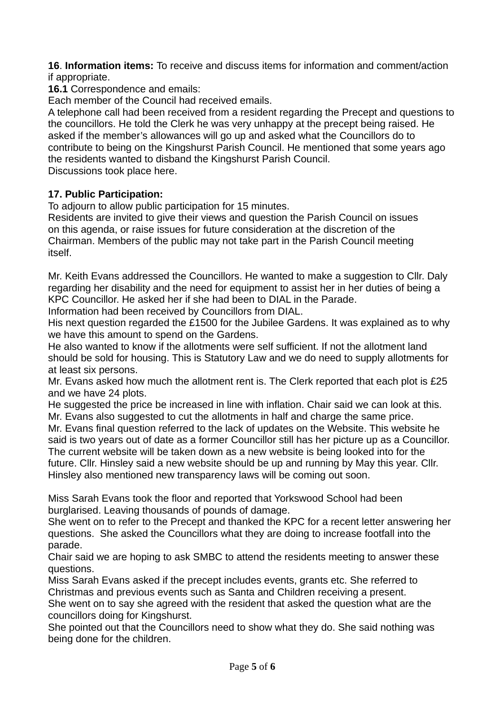**16**. **Information items:** To receive and discuss items for information and comment/action if appropriate.

**16.1** Correspondence and emails:

Each member of the Council had received emails.

A telephone call had been received from a resident regarding the Precept and questions to the councillors. He told the Clerk he was very unhappy at the precept being raised. He asked if the member's allowances will go up and asked what the Councillors do to contribute to being on the Kingshurst Parish Council. He mentioned that some years ago the residents wanted to disband the Kingshurst Parish Council. Discussions took place here.

# **17. Public Participation:**

To adjourn to allow public participation for 15 minutes.

Residents are invited to give their views and question the Parish Council on issues on this agenda, or raise issues for future consideration at the discretion of the Chairman. Members of the public may not take part in the Parish Council meeting itself.

Mr. Keith Evans addressed the Councillors. He wanted to make a suggestion to Cllr. Daly regarding her disability and the need for equipment to assist her in her duties of being a KPC Councillor. He asked her if she had been to DIAL in the Parade.

Information had been received by Councillors from DIAL.

His next question regarded the £1500 for the Jubilee Gardens. It was explained as to why we have this amount to spend on the Gardens.

He also wanted to know if the allotments were self sufficient. If not the allotment land should be sold for housing. This is Statutory Law and we do need to supply allotments for at least six persons.

Mr. Evans asked how much the allotment rent is. The Clerk reported that each plot is £25 and we have 24 plots.

He suggested the price be increased in line with inflation. Chair said we can look at this. Mr. Evans also suggested to cut the allotments in half and charge the same price.

Mr. Evans final question referred to the lack of updates on the Website. This website he said is two years out of date as a former Councillor still has her picture up as a Councillor. The current website will be taken down as a new website is being looked into for the future. Cllr. Hinsley said a new website should be up and running by May this year. Cllr. Hinsley also mentioned new transparency laws will be coming out soon.

Miss Sarah Evans took the floor and reported that Yorkswood School had been burglarised. Leaving thousands of pounds of damage.

She went on to refer to the Precept and thanked the KPC for a recent letter answering her questions. She asked the Councillors what they are doing to increase footfall into the parade.

Chair said we are hoping to ask SMBC to attend the residents meeting to answer these questions.

Miss Sarah Evans asked if the precept includes events, grants etc. She referred to Christmas and previous events such as Santa and Children receiving a present. She went on to say she agreed with the resident that asked the question what are the councillors doing for Kingshurst.

She pointed out that the Councillors need to show what they do. She said nothing was being done for the children.